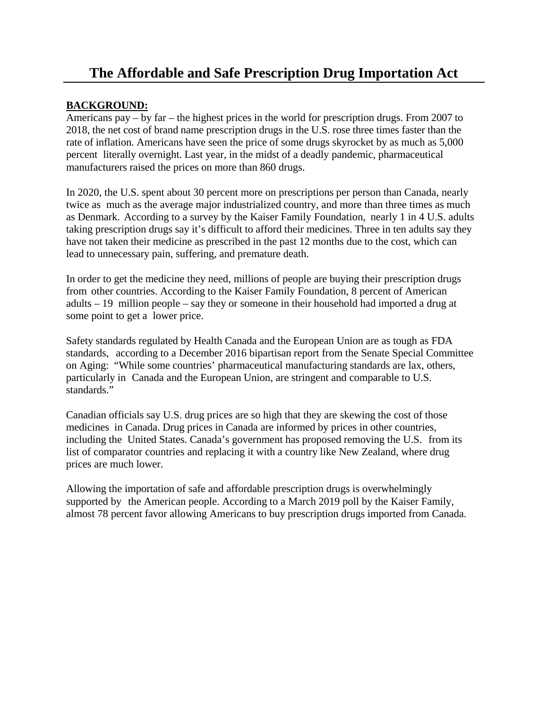## **The Affordable and Safe Prescription Drug Importation Act**

## **BACKGROUND:**

Americans pay – by far – the highest prices in the world for prescription drugs. From 2007 to 2018, the net cost of brand name prescription drugs in the U.S. rose three times faster than the rate of inflation. Americans have seen the price of some drugs skyrocket by as much as 5,000 percent literally overnight. Last year, in the midst of a deadly pandemic, pharmaceutical manufacturers raised the prices on more than 860 drugs.

In 2020, the U.S. spent about 30 percent more on prescriptions per person than Canada, nearly twice as much as the average major industrialized country, and more than three times as much as Denmark. According to a survey by the Kaiser Family Foundation, nearly 1 in 4 U.S. adults taking prescription drugs say it's difficult to afford their medicines. Three in ten adults say they have not taken their medicine as prescribed in the past 12 months due to the cost, which can lead to unnecessary pain, suffering, and premature death.

In order to get the medicine they need, millions of people are buying their prescription drugs from other countries. According to the Kaiser Family Foundation, 8 percent of American adults – 19 million people – say they or someone in their household had imported a drug at some point to get a lower price.

Safety standards regulated by Health Canada and the European Union are as tough as FDA standards, according to a December 2016 bipartisan report from the Senate Special Committee on Aging: "While some countries' pharmaceutical manufacturing standards are lax, others, particularly in Canada and the European Union, are stringent and comparable to U.S. standards."

Canadian officials say U.S. drug prices are so high that they are skewing the cost of those medicines in Canada. Drug prices in Canada are informed by prices in other countries, including the United States. Canada's government has proposed removing the U.S. from its list of comparator countries and replacing it with a country like New Zealand, where drug prices are much lower.

Allowing the importation of safe and affordable prescription drugs is overwhelmingly supported by the American people. According to a March 2019 poll by the Kaiser Family, almost 78 percent favor allowing Americans to buy prescription drugs imported from Canada.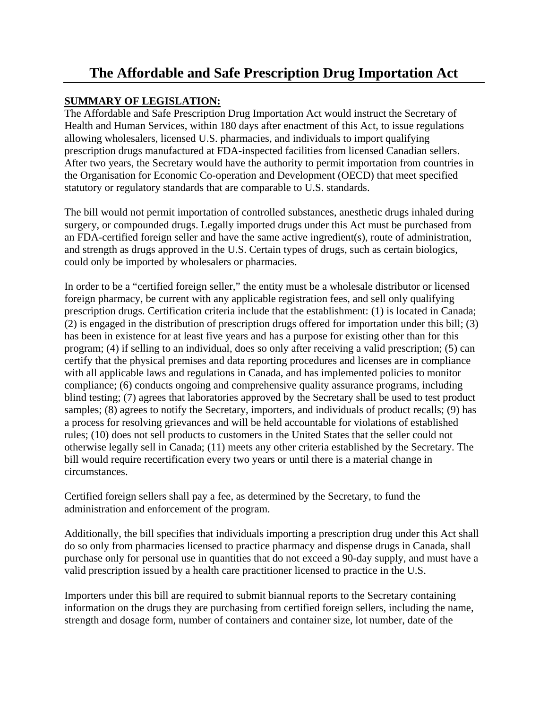## **The Affordable and Safe Prescription Drug Importation Act**

## **SUMMARY OF LEGISLATION:**

The Affordable and Safe Prescription Drug Importation Act would instruct the Secretary of Health and Human Services, within 180 days after enactment of this Act, to issue regulations allowing wholesalers, licensed U.S. pharmacies, and individuals to import qualifying prescription drugs manufactured at FDA-inspected facilities from licensed Canadian sellers. After two years, the Secretary would have the authority to permit importation from countries in the Organisation for Economic Co-operation and Development (OECD) that meet specified statutory or regulatory standards that are comparable to U.S. standards.

The bill would not permit importation of controlled substances, anesthetic drugs inhaled during surgery, or compounded drugs. Legally imported drugs under this Act must be purchased from an FDA-certified foreign seller and have the same active ingredient(s), route of administration, and strength as drugs approved in the U.S. Certain types of drugs, such as certain biologics, could only be imported by wholesalers or pharmacies.

In order to be a "certified foreign seller," the entity must be a wholesale distributor or licensed foreign pharmacy, be current with any applicable registration fees, and sell only qualifying prescription drugs. Certification criteria include that the establishment: (1) is located in Canada; (2) is engaged in the distribution of prescription drugs offered for importation under this bill; (3) has been in existence for at least five years and has a purpose for existing other than for this program; (4) if selling to an individual, does so only after receiving a valid prescription; (5) can certify that the physical premises and data reporting procedures and licenses are in compliance with all applicable laws and regulations in Canada, and has implemented policies to monitor compliance; (6) conducts ongoing and comprehensive quality assurance programs, including blind testing; (7) agrees that laboratories approved by the Secretary shall be used to test product samples; (8) agrees to notify the Secretary, importers, and individuals of product recalls; (9) has a process for resolving grievances and will be held accountable for violations of established rules; (10) does not sell products to customers in the United States that the seller could not otherwise legally sell in Canada; (11) meets any other criteria established by the Secretary. The bill would require recertification every two years or until there is a material change in circumstances.

Certified foreign sellers shall pay a fee, as determined by the Secretary, to fund the administration and enforcement of the program.

Additionally, the bill specifies that individuals importing a prescription drug under this Act shall do so only from pharmacies licensed to practice pharmacy and dispense drugs in Canada, shall purchase only for personal use in quantities that do not exceed a 90-day supply, and must have a valid prescription issued by a health care practitioner licensed to practice in the U.S.

Importers under this bill are required to submit biannual reports to the Secretary containing information on the drugs they are purchasing from certified foreign sellers, including the name, strength and dosage form, number of containers and container size, lot number, date of the